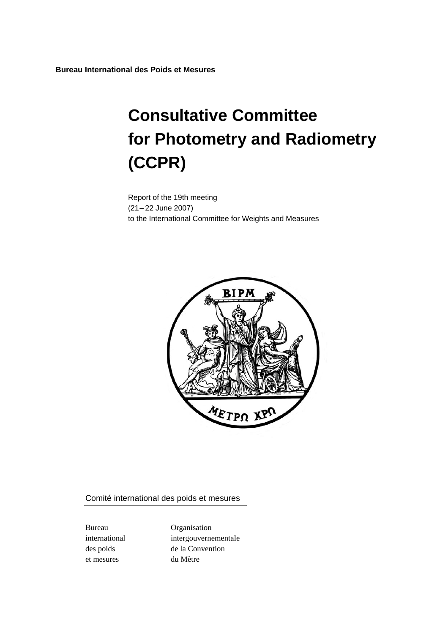**Bureau International des Poids et Mesures** 

# **Consultative Committee for Photometry and Radiometry (CCPR)**

Report of the 19th meeting (21– 22 June 2007) to the International Committee for Weights and Measures



Comité international des poids et mesures

et mesures du Mètre

Bureau Organisation international intergouvernementale des poids de la Convention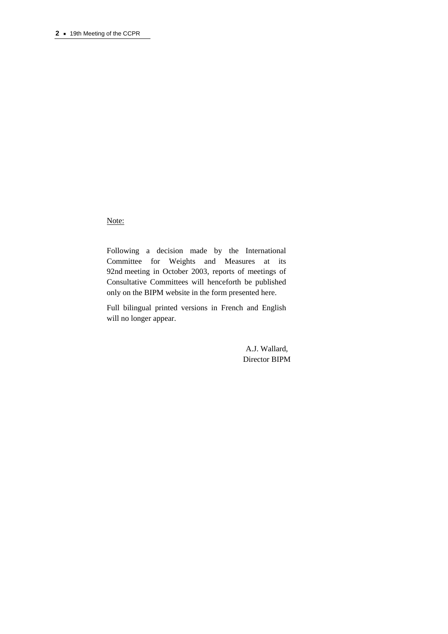Note:

Following a decision made by the International Committee for Weights and Measures at its 92nd meeting in October 2003, reports of meetings of Consultative Committees will henceforth be published only on the BIPM website in the form presented here.

Full bilingual printed versions in French and English will no longer appear.

> A.J. Wallard, Director BIPM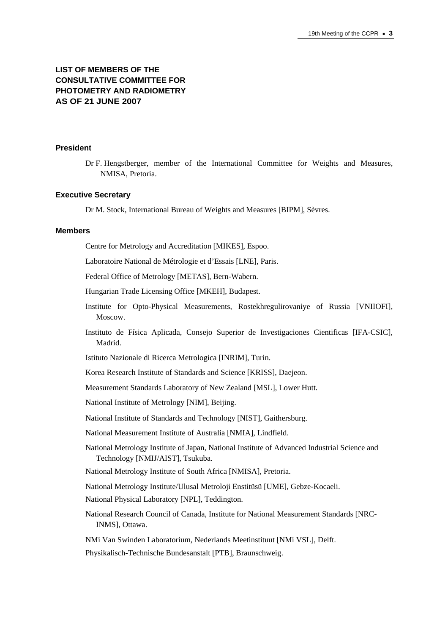# **LIST OF MEMBERS OF THE CONSULTATIVE COMMITTEE FOR PHOTOMETRY AND RADIOMETRY AS OF 21 JUNE 2007**

#### **President**

Dr F. Hengstberger, member of the International Committee for Weights and Measures, NMISA, Pretoria.

#### **Executive Secretary**

Dr M. Stock, International Bureau of Weights and Measures [BIPM], Sèvres.

#### **Members**

Centre for Metrology and Accreditation [MIKES], Espoo.

Laboratoire National de Métrologie et d'Essais [LNE], Paris.

Federal Office of Metrology [METAS], Bern-Wabern.

Hungarian Trade Licensing Office [MKEH], Budapest.

- Institute for Opto-Physical Measurements, Rostekhregulirovaniye of Russia [VNIIOFI], Moscow.
- Instituto de Física Aplicada, Consejo Superior de Investigaciones Cientificas [IFA-CSIC], Madrid.

Istituto Nazionale di Ricerca Metrologica [INRIM], Turin.

Korea Research Institute of Standards and Science [KRISS], Daejeon.

Measurement Standards Laboratory of New Zealand [MSL], Lower Hutt.

National Institute of Metrology [NIM], Beijing.

National Institute of Standards and Technology [NIST], Gaithersburg.

- National Measurement Institute of Australia [NMIA], Lindfield.
- National Metrology Institute of Japan, National Institute of Advanced Industrial Science and Technology [NMIJ/AIST], Tsukuba.
- National Metrology Institute of South Africa [NMISA], Pretoria.

National Metrology Institute/Ulusal Metroloji Enstitüsü [UME], Gebze-Kocaeli.

National Physical Laboratory [NPL], Teddington.

National Research Council of Canada, Institute for National Measurement Standards [NRC-INMS], Ottawa.

NMi Van Swinden Laboratorium, Nederlands Meetinstituut [NMi VSL], Delft.

Physikalisch-Technische Bundesanstalt [PTB], Braunschweig.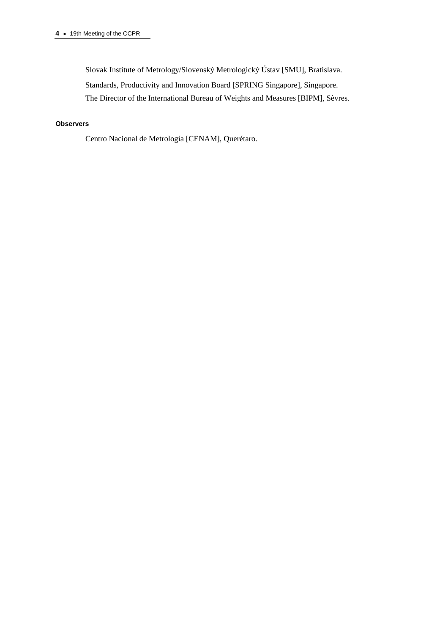Slovak Institute of Metrology/Slovenský Metrologický Ústav [SMU], Bratislava.

Standards, Productivity and Innovation Board [SPRING Singapore], Singapore.

The Director of the International Bureau of Weights and Measures [BIPM], Sèvres.

# **Observers**

Centro Nacional de Metrología [CENAM], Querétaro.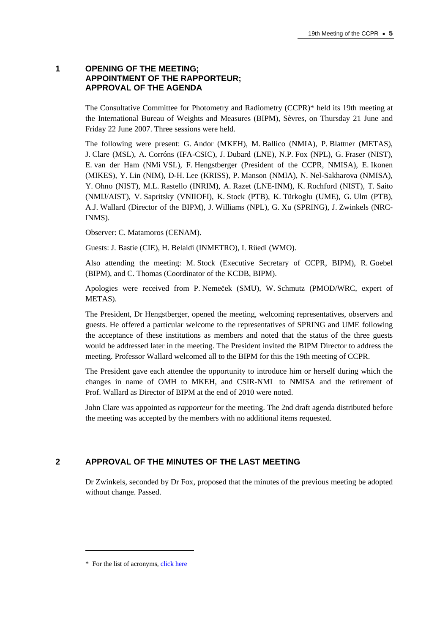## **1 OPENING OF THE MEETING; APPOINTMENT OF THE RAPPORTEUR; APPROVAL OF THE AGENDA**

The Consultative Committee for Photometry and Radiometry (CCPR)\* held its 19th meeting at the International Bureau of Weights and Measures (BIPM), Sèvres, on Thursday 21 June and Friday 22 June 2007. Three sessions were held.

The following were present: G. Andor (MKEH), M. Ballico (NMIA), P. Blattner (METAS), J. Clare (MSL), A. Corróns (IFA-CSIC), J. Dubard (LNE), N.P. Fox (NPL), G. Fraser (NIST), E. van der Ham (NMi VSL), F. Hengstberger (President of the CCPR, NMISA), E. Ikonen (MIKES), Y. Lin (NIM), D-H. Lee (KRISS), P. Manson (NMIA), N. Nel-Sakharova (NMISA), Y. Ohno (NIST), M.L. Rastello (INRIM), A. Razet (LNE-INM), K. Rochford (NIST), T. Saito (NMIJ/AIST), V. Sapritsky (VNIIOFI), K. Stock (PTB), K. Türkoglu (UME), G. Ulm (PTB), A.J. Wallard (Director of the BIPM), J. Williams (NPL), G. Xu (SPRING), J. Zwinkels (NRC-INMS).

Observer: C. Matamoros (CENAM).

Guests: J. Bastie (CIE), H. Belaidi (INMETRO), I. Rüedi (WMO).

Also attending the meeting: M. Stock (Executive Secretary of CCPR, BIPM), R. Goebel (BIPM), and C. Thomas (Coordinator of the KCDB, BIPM).

Apologies were received from P. Nemeček (SMU), W. Schmutz (PMOD/WRC, expert of METAS).

The President, Dr Hengstberger, opened the meeting, welcoming representatives, observers and guests. He offered a particular welcome to the representatives of SPRING and UME following the acceptance of these institutions as members and noted that the status of the three guests would be addressed later in the meeting. The President invited the BIPM Director to address the meeting. Professor Wallard welcomed all to the BIPM for this the 19th meeting of CCPR.

The President gave each attendee the opportunity to introduce him or herself during which the changes in name of OMH to MKEH, and CSIR-NML to NMISA and the retirement of Prof. Wallard as Director of BIPM at the end of 2010 were noted.

John Clare was appointed as *rapporteur* for the meeting. The 2nd draft agenda distributed before the meeting was accepted by the members with no additional items requested.

# **2 APPROVAL OF THE MINUTES OF THE LAST MEETING**

Dr Zwinkels, seconded by Dr Fox, proposed that the minutes of the previous meeting be adopted without change. Passed.

 $\overline{a}$ 

<sup>\*</sup> For the list of acrony[ms, click here](https://www.bipm.org/en/practical_info/acronyms.html)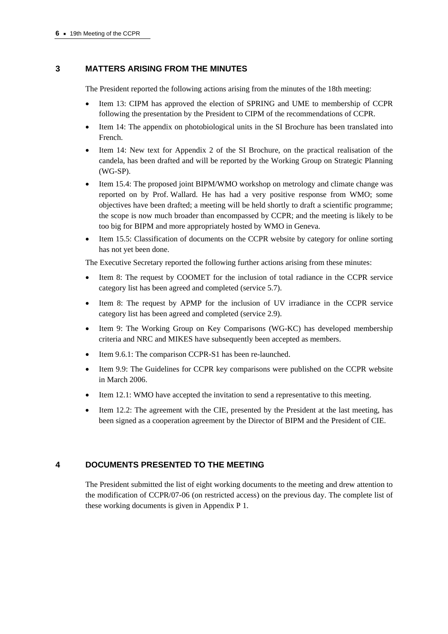# **3 MATTERS ARISING FROM THE MINUTES**

The President reported the following actions arising from the minutes of the 18th meeting:

- Item 13: CIPM has approved the election of SPRING and UME to membership of CCPR following the presentation by the President to CIPM of the recommendations of CCPR.
- Item 14: The appendix on photobiological units in the SI Brochure has been translated into French.
- Item 14: New text for Appendix 2 of the SI Brochure, on the practical realisation of the candela, has been drafted and will be reported by the Working Group on Strategic Planning (WG-SP).
- Item 15.4: The proposed joint BIPM/WMO workshop on metrology and climate change was reported on by Prof. Wallard. He has had a very positive response from WMO; some objectives have been drafted; a meeting will be held shortly to draft a scientific programme; the scope is now much broader than encompassed by CCPR; and the meeting is likely to be too big for BIPM and more appropriately hosted by WMO in Geneva.
- Item 15.5: Classification of documents on the CCPR website by category for online sorting has not yet been done.

The Executive Secretary reported the following further actions arising from these minutes:

- Item 8: The request by COOMET for the inclusion of total radiance in the CCPR service category list has been agreed and completed (service 5.7).
- Item 8: The request by APMP for the inclusion of UV irradiance in the CCPR service category list has been agreed and completed (service 2.9).
- Item 9: The Working Group on Key Comparisons (WG-KC) has developed membership criteria and NRC and MIKES have subsequently been accepted as members.
- Item 9.6.1: The comparison CCPR-S1 has been re-launched.
- Item 9.9: The Guidelines for CCPR key comparisons were published on the CCPR website in March 2006.
- Item 12.1: WMO have accepted the invitation to send a representative to this meeting.
- Item 12.2: The agreement with the CIE, presented by the President at the last meeting, has been signed as a cooperation agreement by the Director of BIPM and the President of CIE.

# **4 DOCUMENTS PRESENTED TO THE MEETING**

The President submitted the list of eight working documents to the meeting and drew attention to the modification of CCPR/07-06 (on restricted access) on the previous day. The complete list of these working documents is given in Appendix P 1.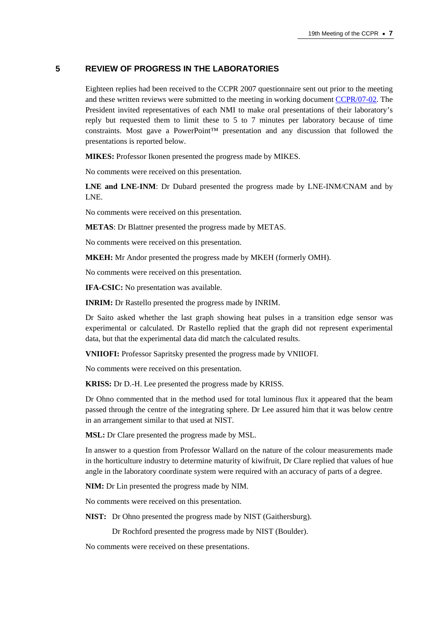# **5 REVIEW OF PROGRESS IN THE LABORATORIES**

Eighteen replies had been received to the CCPR 2007 questionnaire sent out prior to the meeting and these written reviews were submitted to the meeting in working document [CCPR/07-02. Th](https://www.bipm.org/cc/CCPR/Allowed/19/CCPR-07-02.pdf)e President invited representatives of each NMI to make oral presentations of their laboratory's reply but requested them to limit these to 5 to 7 minutes per laboratory because of time constraints. Most gave a PowerPoint<sup>TM</sup> presentation and any discussion that followed the presentations is reported below.

**MIKES:** Professor Ikonen presented the progress made by MIKES.

No comments were received on this presentation.

**LNE and LNE-INM**: Dr Dubard presented the progress made by LNE-INM/CNAM and by LNE.

No comments were received on this presentation.

**METAS**: Dr Blattner presented the progress made by METAS.

No comments were received on this presentation.

**MKEH:** Mr Andor presented the progress made by MKEH (formerly OMH).

No comments were received on this presentation.

**IFA-CSIC:** No presentation was available.

**INRIM:** Dr Rastello presented the progress made by INRIM.

Dr Saito asked whether the last graph showing heat pulses in a transition edge sensor was experimental or calculated. Dr Rastello replied that the graph did not represent experimental data, but that the experimental data did match the calculated results.

**VNIIOFI:** Professor Sapritsky presented the progress made by VNIIOFI.

No comments were received on this presentation.

**KRISS:** Dr D.-H. Lee presented the progress made by KRISS.

Dr Ohno commented that in the method used for total luminous flux it appeared that the beam passed through the centre of the integrating sphere. Dr Lee assured him that it was below centre in an arrangement similar to that used at NIST.

**MSL:** Dr Clare presented the progress made by MSL.

In answer to a question from Professor Wallard on the nature of the colour measurements made in the horticulture industry to determine maturity of kiwifruit, Dr Clare replied that values of hue angle in the laboratory coordinate system were required with an accuracy of parts of a degree.

**NIM:** Dr Lin presented the progress made by NIM.

No comments were received on this presentation.

**NIST:** Dr Ohno presented the progress made by NIST (Gaithersburg).

Dr Rochford presented the progress made by NIST (Boulder).

No comments were received on these presentations.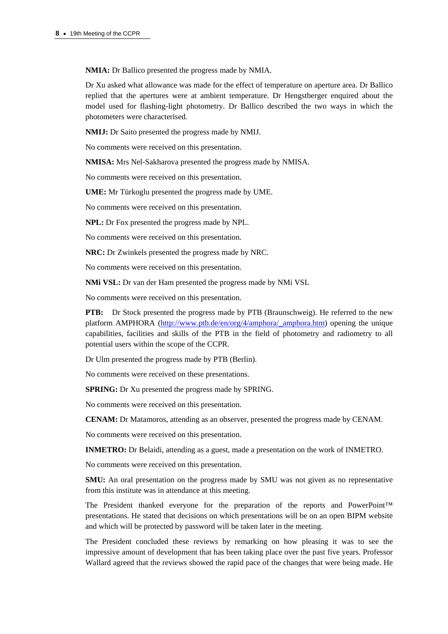**NMIA:** Dr Ballico presented the progress made by NMIA.

Dr Xu asked what allowance was made for the effect of temperature on aperture area. Dr Ballico replied that the apertures were at ambient temperature. Dr Hengstberger enquired about the model used for flashing-light photometry. Dr Ballico described the two ways in which the photometers were characterised.

**NMIJ:** Dr Saito presented the progress made by NMIJ.

No comments were received on this presentation.

**NMISA:** Mrs Nel-Sakharova presented the progress made by NMISA.

No comments were received on this presentation.

**UME:** Mr Türkoglu presented the progress made by UME.

No comments were received on this presentation.

**NPL:** Dr Fox presented the progress made by NPL.

No comments were received on this presentation.

**NRC:** Dr Zwinkels presented the progress made by NRC.

No comments were received on this presentation.

**NMi VSL:** Dr van der Ham presented the progress made by NMi VSL

No comments were received on this presentation.

**PTB:** Dr Stock presented the progress made by PTB (Braunschweig). He referred to the new platform AMPHOR[A \(http://www.ptb.de/en/org/4/amphora/\\_amphora.htm\) op](http://www.ptb.de/en/org/4/amphora/_amphora.htm)ening the unique capabilities, facilities and skills of the PTB in the field of photometry and radiometry to all potential users within the scope of the CCPR.

Dr Ulm presented the progress made by PTB (Berlin).

No comments were received on these presentations.

**SPRING:** Dr Xu presented the progress made by SPRING.

No comments were received on this presentation.

**CENAM:** Dr Matamoros, attending as an observer, presented the progress made by CENAM.

No comments were received on this presentation.

**INMETRO:** Dr Belaidi, attending as a guest, made a presentation on the work of INMETRO.

No comments were received on this presentation.

**SMU:** An oral presentation on the progress made by SMU was not given as no representative from this institute was in attendance at this meeting.

The President thanked everyone for the preparation of the reports and PowerPoint™ presentations. He stated that decisions on which presentations will be on an open BIPM website and which will be protected by password will be taken later in the meeting.

The President concluded these reviews by remarking on how pleasing it was to see the impressive amount of development that has been taking place over the past five years. Professor Wallard agreed that the reviews showed the rapid pace of the changes that were being made. He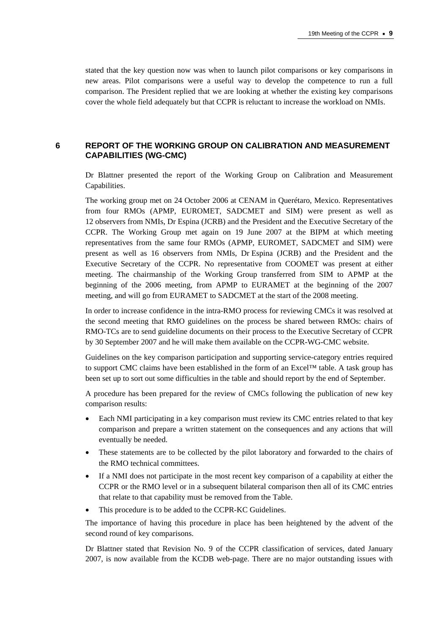stated that the key question now was when to launch pilot comparisons or key comparisons in new areas. Pilot comparisons were a useful way to develop the competence to run a full comparison. The President replied that we are looking at whether the existing key comparisons cover the whole field adequately but that CCPR is reluctant to increase the workload on NMIs.

# **6 REPORT OF THE WORKING GROUP ON CALIBRATION AND MEASUREMENT CAPABILITIES (WG-CMC)**

Dr Blattner presented the report of the Working Group on Calibration and Measurement Capabilities.

The working group met on 24 October 2006 at CENAM in Querétaro, Mexico. Representatives from four RMOs (APMP, EUROMET, SADCMET and SIM) were present as well as 12 observers from NMIs, Dr Espina (JCRB) and the President and the Executive Secretary of the CCPR. The Working Group met again on 19 June 2007 at the BIPM at which meeting representatives from the same four RMOs (APMP, EUROMET, SADCMET and SIM) were present as well as 16 observers from NMIs, Dr Espina (JCRB) and the President and the Executive Secretary of the CCPR. No representative from COOMET was present at either meeting. The chairmanship of the Working Group transferred from SIM to APMP at the beginning of the 2006 meeting, from APMP to EURAMET at the beginning of the 2007 meeting, and will go from EURAMET to SADCMET at the start of the 2008 meeting.

In order to increase confidence in the intra-RMO process for reviewing CMCs it was resolved at the second meeting that RMO guidelines on the process be shared between RMOs: chairs of RMO-TCs are to send guideline documents on their process to the Executive Secretary of CCPR by 30 September 2007 and he will make them available on the CCPR-WG-CMC website.

Guidelines on the key comparison participation and supporting service-category entries required to support CMC claims have been established in the form of an Excel™ table. A task group has been set up to sort out some difficulties in the table and should report by the end of September.

A procedure has been prepared for the review of CMCs following the publication of new key comparison results:

- Each NMI participating in a key comparison must review its CMC entries related to that key comparison and prepare a written statement on the consequences and any actions that will eventually be needed.
- These statements are to be collected by the pilot laboratory and forwarded to the chairs of the RMO technical committees.
- If a NMI does not participate in the most recent key comparison of a capability at either the CCPR or the RMO level or in a subsequent bilateral comparison then all of its CMC entries that relate to that capability must be removed from the Table.
- This procedure is to be added to the CCPR-KC Guidelines.

The importance of having this procedure in place has been heightened by the advent of the second round of key comparisons.

Dr Blattner stated that Revision No. 9 of the CCPR classification of services, dated January 2007, is now available from the KCDB web-page. There are no major outstanding issues with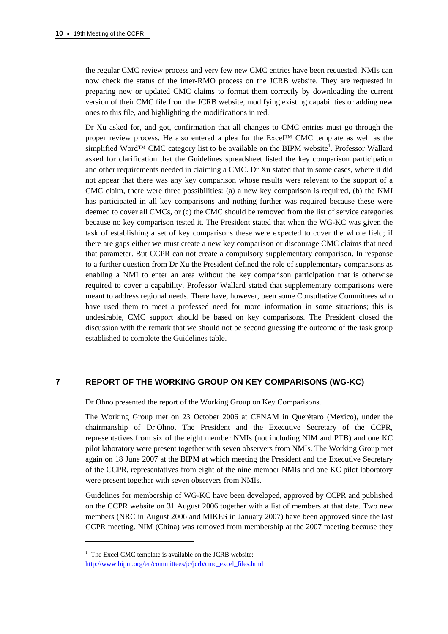the regular CMC review process and very few new CMC entries have been requested. NMIs can now check the status of the inter-RMO process on the JCRB website. They are requested in preparing new or updated CMC claims to format them correctly by downloading the current version of their CMC file from the JCRB website, modifying existing capabilities or adding new ones to this file, and highlighting the modifications in red.

Dr Xu asked for, and got, confirmation that all changes to CMC entries must go through the proper review process. He also entered a plea for the Excel™ CMC template as well as the simplified Word<sup>TM</sup> CMC category list to be available on the BIPM website<sup>1</sup>. Professor Wallard asked for clarification that the Guidelines spreadsheet listed the key comparison participation and other requirements needed in claiming a CMC. Dr Xu stated that in some cases, where it did not appear that there was any key comparison whose results were relevant to the support of a CMC claim, there were three possibilities: (a) a new key comparison is required, (b) the NMI has participated in all key comparisons and nothing further was required because these were deemed to cover all CMCs, or (c) the CMC should be removed from the list of service categories because no key comparison tested it. The President stated that when the WG-KC was given the task of establishing a set of key comparisons these were expected to cover the whole field; if there are gaps either we must create a new key comparison or discourage CMC claims that need that parameter. But CCPR can not create a compulsory supplementary comparison. In response to a further question from Dr Xu the President defined the role of supplementary comparisons as enabling a NMI to enter an area without the key comparison participation that is otherwise required to cover a capability. Professor Wallard stated that supplementary comparisons were meant to address regional needs. There have, however, been some Consultative Committees who have used them to meet a professed need for more information in some situations; this is undesirable, CMC support should be based on key comparisons. The President closed the discussion with the remark that we should not be second guessing the outcome of the task group established to complete the Guidelines table.

## **7 REPORT OF THE WORKING GROUP ON KEY COMPARISONS (WG-KC)**

Dr Ohno presented the report of the Working Group on Key Comparisons.

The Working Group met on 23 October 2006 at CENAM in Querétaro (Mexico), under the chairmanship of Dr Ohno. The President and the Executive Secretary of the CCPR, representatives from six of the eight member NMIs (not including NIM and PTB) and one KC pilot laboratory were present together with seven observers from NMIs. The Working Group met again on 18 June 2007 at the BIPM at which meeting the President and the Executive Secretary of the CCPR, representatives from eight of the nine member NMIs and one KC pilot laboratory were present together with seven observers from NMIs.

Guidelines for membership of WG-KC have been developed, approved by CCPR and published on the CCPR website on 31 August 2006 together with a list of members at that date. Two new members (NRC in August 2006 and MIKES in January 2007) have been approved since the last CCPR meeting. NIM (China) was removed from membership at the 2007 meeting because they

 $\overline{a}$ 

<sup>&</sup>lt;sup>1</sup> The Excel CMC template is available on the JCRB website:

[http://www.bipm.org/en/committees/jc/jcrb/cmc\\_excel\\_files.html](https://www.bipm.org/en/committees/jc/jcrb/cmc_excel_files.html)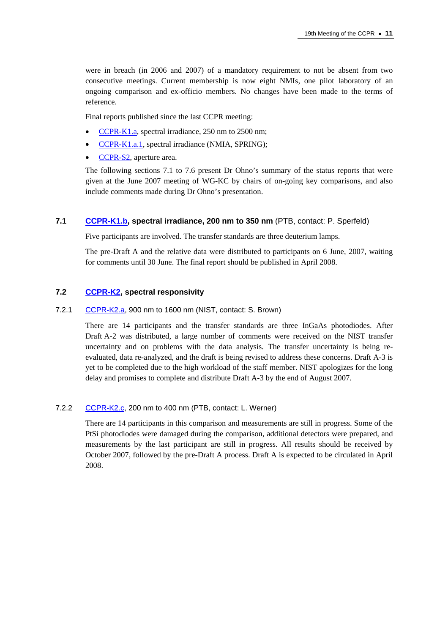were in breach (in 2006 and 2007) of a mandatory requirement to not be absent from two consecutive meetings. Current membership is now eight NMIs, one pilot laboratory of an ongoing comparison and ex-officio members. No changes have been made to the terms of reference.

Final reports published since the last CCPR meeting:

- [CCPR-K1.a, spe](http://kcdb.bipm.org/appendixB/KCDB_ApB_info.asp?cmp_idy=478&cmp_cod=CCPR-K1.a&prov=exalead)ctral irradiance, 250 nm to 2500 nm;
- [CCPR-K1.a.1, sp](http://kcdb.bipm.org/appendixB/KCDB_ApB_info.asp?cmp_idy=610&cmp_cod=CCPR-K1.a.1&prov=exalead)ectral irradiance (NMIA, SPRING);
- [CCPR-S2, ap](http://kcdb.bipm.org/appendixB/KCDB_ApB_info.asp?cmp_idy=494&cmp_cod=CCPR-S2&prov=exalead)erture area.

The following sections 7.1 to 7.6 present Dr Ohno's summary of the status reports that were given at the June 2007 meeting of WG-KC by chairs of on-going key comparisons, and also include comments made during Dr Ohno's presentation.

#### **7.1 [CCPR-K1.b, sp](http://kcdb.bipm.org/appendixB/KCDB_ApB_info.asp?cmp_idy=481&cmp_cod=CCPR-K1.b%20&prov=exalead)ectral irradiance, 200 nm to 350 nm** (PTB, contact: P. Sperfeld)

Five participants are involved. The transfer standards are three deuterium lamps.

The pre-Draft A and the relative data were distributed to participants on 6 June, 2007, waiting for comments until 30 June. The final report should be published in April 2008.

#### **7.2 [CCPR-K2, spe](https://www.bipm.org/exalead_kcdb/exa_kcdb.jsp?_p=AppB&_q=CCPR-K2)ctral responsivity**

#### 7.2.1 [CCPR-K2.a, 90](http://kcdb.bipm.org/appendixB/KCDB_ApB_info.asp?cmp_idy=483&cmp_cod=CCPR-K2.a&prov=exalead)0 nm to 1600 nm (NIST, contact: S. Brown)

There are 14 participants and the transfer standards are three InGaAs photodiodes. After Draft A-2 was distributed, a large number of comments were received on the NIST transfer uncertainty and on problems with the data analysis. The transfer uncertainty is being reevaluated, data re-analyzed, and the draft is being revised to address these concerns. Draft A-3 is yet to be completed due to the high workload of the staff member. NIST apologizes for the long delay and promises to complete and distribute Draft A-3 by the end of August 2007.

#### 7.2.2 [CCPR-K2.c, 2](http://kcdb.bipm.org/appendixB/KCDB_ApB_info.asp?cmp_idy=485&cmp_cod=CCPR-K2.c&prov=exalead)00 nm to 400 nm (PTB, contact: L. Werner)

There are 14 participants in this comparison and measurements are still in progress. Some of the PtSi photodiodes were damaged during the comparison, additional detectors were prepared, and measurements by the last participant are still in progress. All results should be received by October 2007, followed by the pre-Draft A process. Draft A is expected to be circulated in April 2008.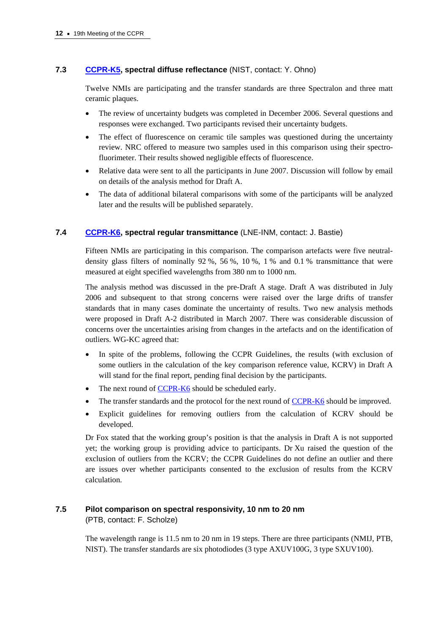# **7.3 [CCPR-K5, sp](http://kcdb.bipm.org/appendixB/KCDB_ApB_info.asp?cmp_idy=491&cmp_cod=CCPR-K5&prov=exalead)ectral diffuse reflectance** (NIST, contact: Y. Ohno)

Twelve NMIs are participating and the transfer standards are three Spectralon and three matt ceramic plaques.

- The review of uncertainty budgets was completed in December 2006. Several questions and responses were exchanged. Two participants revised their uncertainty budgets.
- The effect of fluorescence on ceramic tile samples was questioned during the uncertainty review. NRC offered to measure two samples used in this comparison using their spectrofluorimeter. Their results showed negligible effects of fluorescence.
- Relative data were sent to all the participants in June 2007. Discussion will follow by email on details of the analysis method for Draft A.
- The data of additional bilateral comparisons with some of the participants will be analyzed later and the results will be published separately.

## **7.4 [CCPR-K6, spe](http://kcdb.bipm.org/appendixB/KCDB_ApB_info.asp?cmp_idy=492&cmp_cod=CCPR-K6&prov=exalead)ctral regular transmittance** (LNE-INM, contact: J. Bastie)

Fifteen NMIs are participating in this comparison. The comparison artefacts were five neutraldensity glass filters of nominally  $92\%$ ,  $56\%$ ,  $10\%$ ,  $1\%$  and  $0.1\%$  transmittance that were measured at eight specified wavelengths from 380 nm to 1000 nm.

The analysis method was discussed in the pre-Draft A stage. Draft A was distributed in July 2006 and subsequent to that strong concerns were raised over the large drifts of transfer standards that in many cases dominate the uncertainty of results. Two new analysis methods were proposed in Draft A-2 distributed in March 2007. There was considerable discussion of concerns over the uncertainties arising from changes in the artefacts and on the identification of outliers. WG-KC agreed that:

- In spite of the problems, following the CCPR Guidelines, the results (with exclusion of some outliers in the calculation of the key comparison reference value, KCRV) in Draft A will stand for the final report, pending final decision by the participants.
- The next round of **CCPR-K6** should be scheduled early.
- The transfer standards and the protocol for the next rou[nd of CCPR-K6 shou](http://kcdb.bipm.org/appendixB/KCDB_ApB_info.asp?cmp_idy=492&cmp_cod=CCPR-K6&prov=exalead)ld be improved.
- Explicit guidelines for removing outliers from the calculation of KCRV should be developed.

Dr Fox stated that the working group's position is that the analysis in Draft A is not supported yet; the working group is providing advice to participants. Dr Xu raised the question of the exclusion of outliers from the KCRV; the CCPR Guidelines do not define an outlier and there are issues over whether participants consented to the exclusion of results from the KCRV calculation.

## **7.5 Pilot comparison on spectral responsivity, 10 nm to 20 nm**

(PTB, contact: F. Scholze)

The wavelength range is 11.5 nm to 20 nm in 19 steps. There are three participants (NMIJ, PTB, NIST). The transfer standards are six photodiodes (3 type AXUV100G, 3 type SXUV100).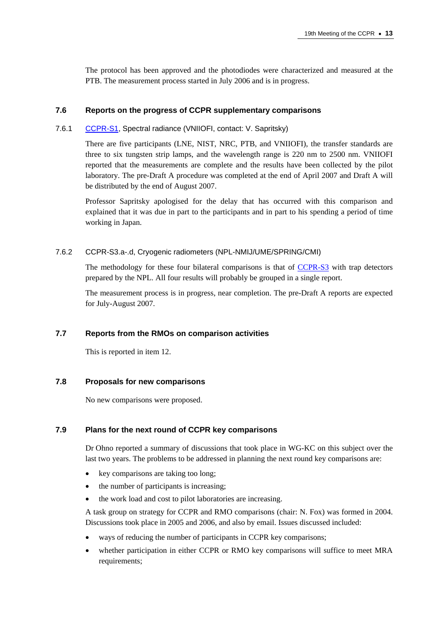The protocol has been approved and the photodiodes were characterized and measured at the PTB. The measurement process started in July 2006 and is in progress.

#### **7.6 Reports on the progress of CCPR supplementary comparisons**

#### 7.6.1 [CCPR-S1, Sp](http://kcdb.bipm.org/appendixB/KCDB_ApB_info.asp?cmp_idy=493&cmp_cod=CCPR-S1&prov=exalead)ectral radiance (VNIIOFI, contact: V. Sapritsky)

There are five participants (LNE, NIST, NRC, PTB, and VNIIOFI), the transfer standards are three to six tungsten strip lamps, and the wavelength range is 220 nm to 2500 nm. VNIIOFI reported that the measurements are complete and the results have been collected by the pilot laboratory. The pre-Draft A procedure was completed at the end of April 2007 and Draft A will be distributed by the end of August 2007.

Professor Sapritsky apologised for the delay that has occurred with this comparison and explained that it was due in part to the participants and in part to his spending a period of time working in Japan.

#### 7.6.2 CCPR-S3.a-.d, Cryogenic radiometers (NPL-NMIJ/UME/SPRING/CMI)

The methodology for these four bilateral comparisons is that [of CCPR-S3 wit](http://kcdb.bipm.org/appendixB/KCDB_ApB_info.asp?cmp_idy=495&cmp_cod=CCPR-S3&prov=exalead)h trap detectors prepared by the NPL. All four results will probably be grouped in a single report.

The measurement process is in progress, near completion. The pre-Draft A reports are expected for July-August 2007.

#### **7.7 Reports from the RMOs on comparison activities**

This is reported in item 12.

#### **7.8 Proposals for new comparisons**

No new comparisons were proposed.

## **7.9 Plans for the next round of CCPR key comparisons**

Dr Ohno reported a summary of discussions that took place in WG-KC on this subject over the last two years. The problems to be addressed in planning the next round key comparisons are:

- key comparisons are taking too long;
- the number of participants is increasing;
- the work load and cost to pilot laboratories are increasing.

A task group on strategy for CCPR and RMO comparisons (chair: N. Fox) was formed in 2004. Discussions took place in 2005 and 2006, and also by email. Issues discussed included:

- ways of reducing the number of participants in CCPR key comparisons;
- whether participation in either CCPR or RMO key comparisons will suffice to meet MRA requirements;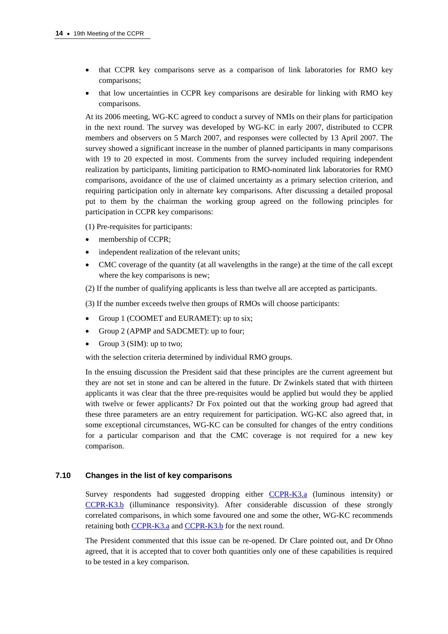- that CCPR key comparisons serve as a comparison of link laboratories for RMO key comparisons;
- that low uncertainties in CCPR key comparisons are desirable for linking with RMO key comparisons.

At its 2006 meeting, WG-KC agreed to conduct a survey of NMIs on their plans for participation in the next round. The survey was developed by WG-KC in early 2007, distributed to CCPR members and observers on 5 March 2007, and responses were collected by 13 April 2007. The survey showed a significant increase in the number of planned participants in many comparisons with 19 to 20 expected in most. Comments from the survey included requiring independent realization by participants, limiting participation to RMO-nominated link laboratories for RMO comparisons, avoidance of the use of claimed uncertainty as a primary selection criterion, and requiring participation only in alternate key comparisons. After discussing a detailed proposal put to them by the chairman the working group agreed on the following principles for participation in CCPR key comparisons:

(1) Pre-requisites for participants:

- membership of CCPR;
- independent realization of the relevant units;
- CMC coverage of the quantity (at all wavelengths in the range) at the time of the call except where the key comparisons is new;
- (2) If the number of qualifying applicants is less than twelve all are accepted as participants.

(3) If the number exceeds twelve then groups of RMOs will choose participants:

- Group 1 (COOMET and EURAMET): up to six;
- Group 2 (APMP and SADCMET): up to four;
- Group 3 (SIM): up to two;

with the selection criteria determined by individual RMO groups.

In the ensuing discussion the President said that these principles are the current agreement but they are not set in stone and can be altered in the future. Dr Zwinkels stated that with thirteen applicants it was clear that the three pre-requisites would be applied but would they be applied with twelve or fewer applicants? Dr Fox pointed out that the working group had agreed that these three parameters are an entry requirement for participation. WG-KC also agreed that, in some exceptional circumstances, WG-KC can be consulted for changes of the entry conditions for a particular comparison and that the CMC coverage is not required for a new key comparison.

## **7.10 Changes in the list of key comparisons**

Survey respondents had suggested dropping eith[er CCPR-K3.a \(lu](http://kcdb.bipm.org/appendixB/KCDB_ApB_info.asp?cmp_idy=488&cmp_cod=CCPR-K3.a&prov=exalead)minous intensity) or [CCPR-K3.b \(](http://kcdb.bipm.org/appendixB/KCDB_ApB_info.asp?cmp_idy=489&cmp_cod=CCPR-K3.b&prov=exalead)illuminance responsivity). After considerable discussion of these strongly correlated comparisons, in which some favoured one and some the other, WG-KC recommends retaining bo[th CCPR-K3.a and](http://kcdb.bipm.org/appendixB/KCDB_ApB_info.asp?cmp_idy=488&cmp_cod=CCPR-K3.a&prov=exalead) [CCPR-K3.b fo](http://kcdb.bipm.org/appendixB/KCDB_ApB_info.asp?cmp_idy=489&cmp_cod=CCPR-K3.b&prov=exalead)r the next round.

The President commented that this issue can be re-opened. Dr Clare pointed out, and Dr Ohno agreed, that it is accepted that to cover both quantities only one of these capabilities is required to be tested in a key comparison.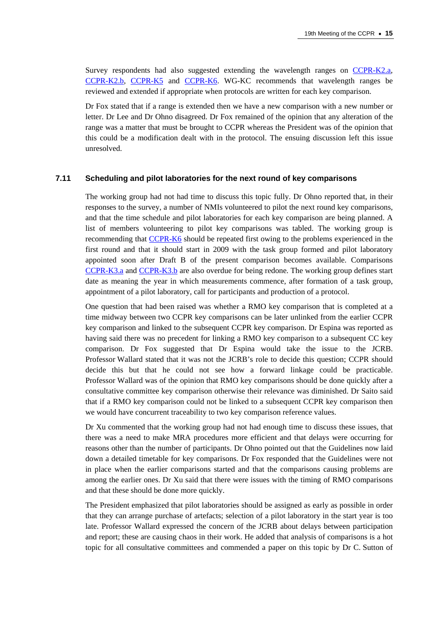Survey respondents had also suggested extending the wavelength ranges on CCPR-K2.a, [CCPR-K2.b,](http://kcdb.bipm.org/appendixB/KCDB_ApB_info.asp?cmp_idy=484&cmp_cod=CCPR-K2.b&prov=exalead) [CCPR-K5 a](http://kcdb.bipm.org/appendixB/KCDB_ApB_info.asp?cmp_idy=491&cmp_cod=CCPR-K5&prov=exalead)nd [CCPR-K6. WG](http://kcdb.bipm.org/appendixB/KCDB_ApB_info.asp?cmp_idy=492&cmp_cod=CCPR-K6&prov=exalead)-KC recommends that wavelength ranges be reviewed and extended if appropriate when protocols are written for each key comparison.

Dr Fox stated that if a range is extended then we have a new comparison with a new number or letter. Dr Lee and Dr Ohno disagreed. Dr Fox remained of the opinion that any alteration of the range was a matter that must be brought to CCPR whereas the President was of the opinion that this could be a modification dealt with in the protocol. The ensuing discussion left this issue unresolved.

#### **7.11 Scheduling and pilot laboratories for the next round of key comparisons**

The working group had not had time to discuss this topic fully. Dr Ohno reported that, in their responses to the survey, a number of NMIs volunteered to pilot the next round key comparisons, and that the time schedule and pilot laboratories for each key comparison are being planned. A list of members volunteering to pilot key comparisons was tabled. The working group is recommending [that CCPR-K6 shoul](http://kcdb.bipm.org/appendixB/KCDB_ApB_info.asp?cmp_idy=492&cmp_cod=CCPR-K6&prov=exalead)d be repeated first owing to the problems experienced in the first round and that it should start in 2009 with the task group formed and pilot laboratory appointed soon after Draft B of the present comparison becomes available. Comparisons [CCPR-K3.a an](http://kcdb.bipm.org/appendixB/KCDB_ApB_info.asp?cmp_idy=488&cmp_cod=CCPR-K3.a&prov=exalead)d [CCPR-K3.b are a](http://kcdb.bipm.org/appendixB/KCDB_ApB_info.asp?cmp_idy=489&cmp_cod=CCPR-K3.b&prov=exalead)lso overdue for being redone. The working group defines start date as meaning the year in which measurements commence, after formation of a task group, appointment of a pilot laboratory, call for participants and production of a protocol.

One question that had been raised was whether a RMO key comparison that is completed at a time midway between two CCPR key comparisons can be later unlinked from the earlier CCPR key comparison and linked to the subsequent CCPR key comparison. Dr Espina was reported as having said there was no precedent for linking a RMO key comparison to a subsequent CC key comparison. Dr Fox suggested that Dr Espina would take the issue to the JCRB. Professor Wallard stated that it was not the JCRB's role to decide this question; CCPR should decide this but that he could not see how a forward linkage could be practicable. Professor Wallard was of the opinion that RMO key comparisons should be done quickly after a consultative committee key comparison otherwise their relevance was diminished. Dr Saito said that if a RMO key comparison could not be linked to a subsequent CCPR key comparison then we would have concurrent traceability to two key comparison reference values.

Dr Xu commented that the working group had not had enough time to discuss these issues, that there was a need to make MRA procedures more efficient and that delays were occurring for reasons other than the number of participants. Dr Ohno pointed out that the Guidelines now laid down a detailed timetable for key comparisons. Dr Fox responded that the Guidelines were not in place when the earlier comparisons started and that the comparisons causing problems are among the earlier ones. Dr Xu said that there were issues with the timing of RMO comparisons and that these should be done more quickly.

The President emphasized that pilot laboratories should be assigned as early as possible in order that they can arrange purchase of artefacts; selection of a pilot laboratory in the start year is too late. Professor Wallard expressed the concern of the JCRB about delays between participation and report; these are causing chaos in their work. He added that analysis of comparisons is a hot topic for all consultative committees and commended a paper on this topic by Dr C. Sutton of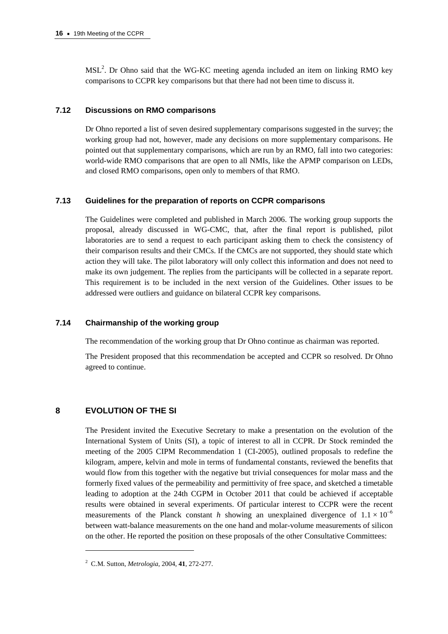$MSL<sup>2</sup>$ . Dr Ohno said that the WG-KC meeting agenda included an item on linking RMO key comparisons to CCPR key comparisons but that there had not been time to discuss it.

## **7.12 Discussions on RMO comparisons**

Dr Ohno reported a list of seven desired supplementary comparisons suggested in the survey; the working group had not, however, made any decisions on more supplementary comparisons. He pointed out that supplementary comparisons, which are run by an RMO, fall into two categories: world-wide RMO comparisons that are open to all NMIs, like the APMP comparison on LEDs, and closed RMO comparisons, open only to members of that RMO.

# **7.13 Guidelines for the preparation of reports on CCPR comparisons**

The Guidelines were completed and published in March 2006. The working group supports the proposal, already discussed in WG-CMC, that, after the final report is published, pilot laboratories are to send a request to each participant asking them to check the consistency of their comparison results and their CMCs. If the CMCs are not supported, they should state which action they will take. The pilot laboratory will only collect this information and does not need to make its own judgement. The replies from the participants will be collected in a separate report. This requirement is to be included in the next version of the Guidelines. Other issues to be addressed were outliers and guidance on bilateral CCPR key comparisons.

## **7.14 Chairmanship of the working group**

The recommendation of the working group that Dr Ohno continue as chairman was reported.

The President proposed that this recommendation be accepted and CCPR so resolved. Dr Ohno agreed to continue.

# **8 EVOLUTION OF THE SI**

 $\overline{a}$ 

The President invited the Executive Secretary to make a presentation on the evolution of the International System of Units (SI), a topic of interest to all in CCPR. Dr Stock reminded the meeting of the 2005 CIPM Recommendation 1 (CI-2005), outlined proposals to redefine the kilogram, ampere, kelvin and mole in terms of fundamental constants, reviewed the benefits that would flow from this together with the negative but trivial consequences for molar mass and the formerly fixed values of the permeability and permittivity of free space, and sketched a timetable leading to adoption at the 24th CGPM in October 2011 that could be achieved if acceptable results were obtained in several experiments. Of particular interest to CCPR were the recent measurements of the Planck constant *h* showing an unexplained divergence of  $1.1 \times 10^{-6}$ between watt-balance measurements on the one hand and molar-volume measurements of silicon on the other. He reported the position on these proposals of the other Consultative Committees:

<sup>2</sup> C.M. Sutton, *Metrologia*, 2004, **41**, 272-277.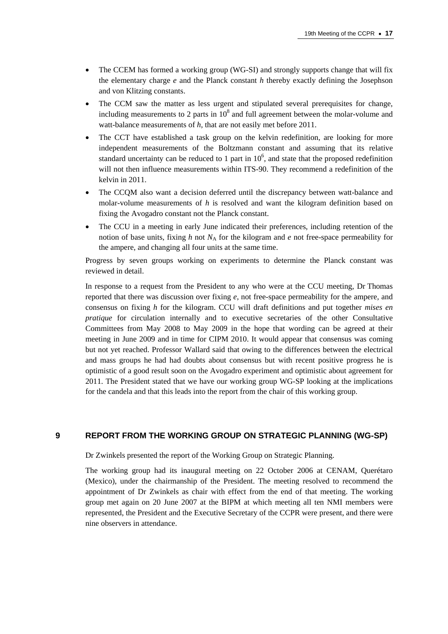- The CCEM has formed a working group (WG-SI) and strongly supports change that will fix the elementary charge *e* and the Planck constant *h* thereby exactly defining the Josephson and von Klitzing constants.
- The CCM saw the matter as less urgent and stipulated several prerequisites for change, including measurements to 2 parts in  $10<sup>8</sup>$  and full agreement between the molar-volume and watt-balance measurements of *h*, that are not easily met before 2011.
- The CCT have established a task group on the kelvin redefinition, are looking for more independent measurements of the Boltzmann constant and assuming that its relative standard uncertainty can be reduced to 1 part in  $10<sup>6</sup>$ , and state that the proposed redefinition will not then influence measurements within ITS-90. They recommend a redefinition of the kelvin in 2011.
- The CCQM also want a decision deferred until the discrepancy between watt-balance and molar-volume measurements of *h* is resolved and want the kilogram definition based on fixing the Avogadro constant not the Planck constant.
- The CCU in a meeting in early June indicated their preferences, including retention of the notion of base units, fixing *h* not  $N_A$  for the kilogram and *e* not free-space permeability for the ampere, and changing all four units at the same time.

Progress by seven groups working on experiments to determine the Planck constant was reviewed in detail.

In response to a request from the President to any who were at the CCU meeting, Dr Thomas reported that there was discussion over fixing *e*, not free-space permeability for the ampere, and consensus on fixing *h* for the kilogram. CCU will draft definitions and put together *mises en pratique* for circulation internally and to executive secretaries of the other Consultative Committees from May 2008 to May 2009 in the hope that wording can be agreed at their meeting in June 2009 and in time for CIPM 2010. It would appear that consensus was coming but not yet reached. Professor Wallard said that owing to the differences between the electrical and mass groups he had had doubts about consensus but with recent positive progress he is optimistic of a good result soon on the Avogadro experiment and optimistic about agreement for 2011. The President stated that we have our working group WG-SP looking at the implications for the candela and that this leads into the report from the chair of this working group.

## **9 REPORT FROM THE WORKING GROUP ON STRATEGIC PLANNING (WG-SP)**

Dr Zwinkels presented the report of the Working Group on Strategic Planning.

The working group had its inaugural meeting on 22 October 2006 at CENAM, Querétaro (Mexico), under the chairmanship of the President. The meeting resolved to recommend the appointment of Dr Zwinkels as chair with effect from the end of that meeting. The working group met again on 20 June 2007 at the BIPM at which meeting all ten NMI members were represented, the President and the Executive Secretary of the CCPR were present, and there were nine observers in attendance.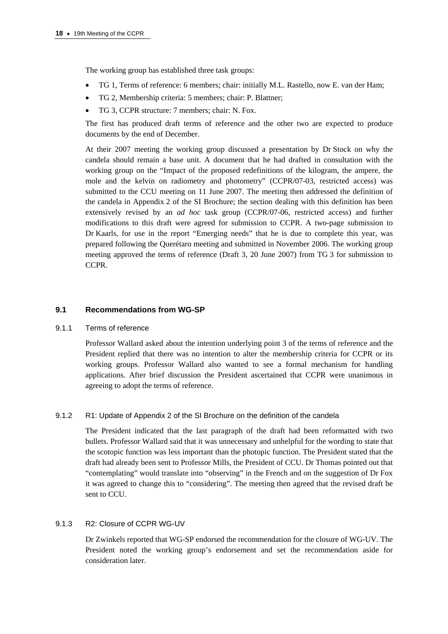The working group has established three task groups:

- TG 1, Terms of reference: 6 members; chair: initially M.L. Rastello, now E. van der Ham;
- TG 2, Membership criteria: 5 members; chair: P. Blattner;
- TG 3, CCPR structure: 7 members; chair: N. Fox.

The first has produced draft terms of reference and the other two are expected to produce documents by the end of December.

At their 2007 meeting the working group discussed a presentation by Dr Stock on why the candela should remain a base unit. A document that he had drafted in consultation with the working group on the "Impact of the proposed redefinitions of the kilogram, the ampere, the mole and the kelvin on radiometry and photometry" (CCPR/07-03, restricted access) was submitted to the CCU meeting on 11 June 2007. The meeting then addressed the definition of the candela in Appendix 2 of the SI Brochure; the section dealing with this definition has been extensively revised by an *ad hoc* task group (CCPR/07-06, restricted access) and further modifications to this draft were agreed for submission to CCPR. A two-page submission to Dr Kaarls, for use in the report "Emerging needs" that he is due to complete this year, was prepared following the Querétaro meeting and submitted in November 2006. The working group meeting approved the terms of reference (Draft 3, 20 June 2007) from TG 3 for submission to CCPR.

## **9.1 Recommendations from WG-SP**

#### 9.1.1 Terms of reference

Professor Wallard asked about the intention underlying point 3 of the terms of reference and the President replied that there was no intention to alter the membership criteria for CCPR or its working groups. Professor Wallard also wanted to see a formal mechanism for handling applications. After brief discussion the President ascertained that CCPR were unanimous in agreeing to adopt the terms of reference.

## 9.1.2 R1: Update of Appendix 2 of the SI Brochure on the definition of the candela

The President indicated that the last paragraph of the draft had been reformatted with two bullets. Professor Wallard said that it was unnecessary and unhelpful for the wording to state that the scotopic function was less important than the photopic function. The President stated that the draft had already been sent to Professor Mills, the President of CCU. Dr Thomas pointed out that "contemplating" would translate into "observing" in the French and on the suggestion of Dr Fox it was agreed to change this to "considering". The meeting then agreed that the revised draft be sent to CCU.

## 9.1.3 R2: Closure of CCPR WG-UV

Dr Zwinkels reported that WG-SP endorsed the recommendation for the closure of WG-UV. The President noted the working group's endorsement and set the recommendation aside for consideration later.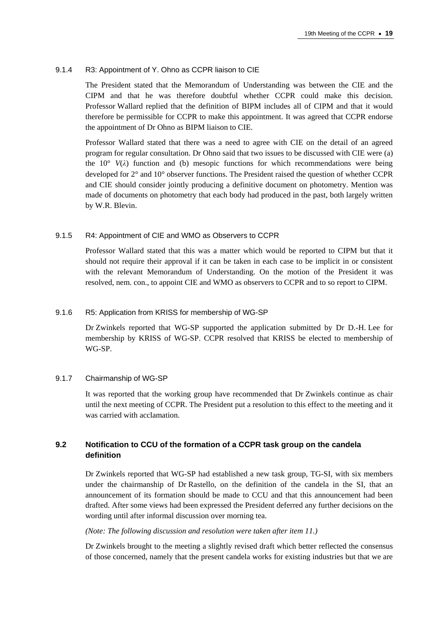#### 9.1.4 R3: Appointment of Y. Ohno as CCPR liaison to CIE

The President stated that the Memorandum of Understanding was between the CIE and the CIPM and that he was therefore doubtful whether CCPR could make this decision. Professor Wallard replied that the definition of BIPM includes all of CIPM and that it would therefore be permissible for CCPR to make this appointment. It was agreed that CCPR endorse the appointment of Dr Ohno as BIPM liaison to CIE.

Professor Wallard stated that there was a need to agree with CIE on the detail of an agreed program for regular consultation. Dr Ohno said that two issues to be discussed with CIE were (a) the  $10^{\circ}$  *V(* $\lambda$ *)* function and (b) mesopic functions for which recommendations were being developed for 2° and 10° observer functions. The President raised the question of whether CCPR and CIE should consider jointly producing a definitive document on photometry. Mention was made of documents on photometry that each body had produced in the past, both largely written by W.R. Blevin.

#### 9.1.5 R4: Appointment of CIE and WMO as Observers to CCPR

Professor Wallard stated that this was a matter which would be reported to CIPM but that it should not require their approval if it can be taken in each case to be implicit in or consistent with the relevant Memorandum of Understanding. On the motion of the President it was resolved, nem. con., to appoint CIE and WMO as observers to CCPR and to so report to CIPM.

#### 9.1.6 R5: Application from KRISS for membership of WG-SP

Dr Zwinkels reported that WG-SP supported the application submitted by Dr D.-H. Lee for membership by KRISS of WG-SP. CCPR resolved that KRISS be elected to membership of WG-SP.

#### 9.1.7 Chairmanship of WG-SP

It was reported that the working group have recommended that Dr Zwinkels continue as chair until the next meeting of CCPR. The President put a resolution to this effect to the meeting and it was carried with acclamation.

# **9.2 Notification to CCU of the formation of a CCPR task group on the candela definition**

Dr Zwinkels reported that WG-SP had established a new task group, TG-SI, with six members under the chairmanship of Dr Rastello, on the definition of the candela in the SI, that an announcement of its formation should be made to CCU and that this announcement had been drafted. After some views had been expressed the President deferred any further decisions on the wording until after informal discussion over morning tea.

#### *(Note: The following discussion and resolution were taken after item 11.)*

Dr Zwinkels brought to the meeting a slightly revised draft which better reflected the consensus of those concerned, namely that the present candela works for existing industries but that we are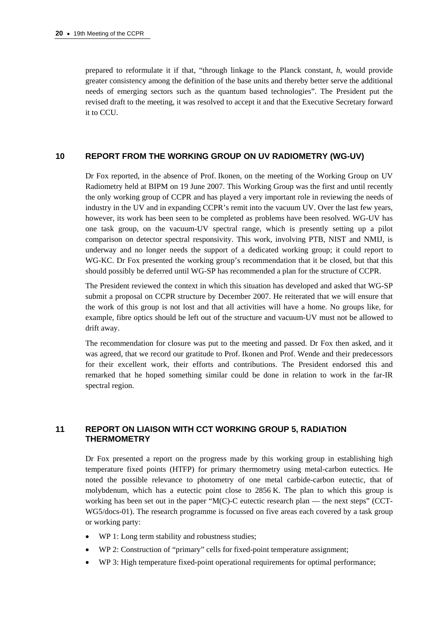prepared to reformulate it if that, "through linkage to the Planck constant, *h*, would provide greater consistency among the definition of the base units and thereby better serve the additional needs of emerging sectors such as the quantum based technologies". The President put the revised draft to the meeting, it was resolved to accept it and that the Executive Secretary forward it to CCU.

## **10 REPORT FROM THE WORKING GROUP ON UV RADIOMETRY (WG-UV)**

Dr Fox reported, in the absence of Prof. Ikonen, on the meeting of the Working Group on UV Radiometry held at BIPM on 19 June 2007. This Working Group was the first and until recently the only working group of CCPR and has played a very important role in reviewing the needs of industry in the UV and in expanding CCPR's remit into the vacuum UV. Over the last few years, however, its work has been seen to be completed as problems have been resolved. WG-UV has one task group, on the vacuum-UV spectral range, which is presently setting up a pilot comparison on detector spectral responsivity. This work, involving PTB, NIST and NMIJ, is underway and no longer needs the support of a dedicated working group; it could report to WG-KC. Dr Fox presented the working group's recommendation that it be closed, but that this should possibly be deferred until WG-SP has recommended a plan for the structure of CCPR.

The President reviewed the context in which this situation has developed and asked that WG-SP submit a proposal on CCPR structure by December 2007. He reiterated that we will ensure that the work of this group is not lost and that all activities will have a home. No groups like, for example, fibre optics should be left out of the structure and vacuum-UV must not be allowed to drift away.

The recommendation for closure was put to the meeting and passed. Dr Fox then asked, and it was agreed, that we record our gratitude to Prof. Ikonen and Prof. Wende and their predecessors for their excellent work, their efforts and contributions. The President endorsed this and remarked that he hoped something similar could be done in relation to work in the far-IR spectral region.

# **11 REPORT ON LIAISON WITH CCT WORKING GROUP 5, RADIATION THERMOMETRY**

Dr Fox presented a report on the progress made by this working group in establishing high temperature fixed points (HTFP) for primary thermometry using metal-carbon eutectics. He noted the possible relevance to photometry of one metal carbide-carbon eutectic, that of molybdenum, which has a eutectic point close to 2856 K. The plan to which this group is working has been set out in the paper "M(C)-C eutectic research plan — the next steps" (CCT-WG5/docs-01). The research programme is focussed on five areas each covered by a task group or working party:

- WP 1: Long term stability and robustness studies;
- WP 2: Construction of "primary" cells for fixed-point temperature assignment;
- WP 3: High temperature fixed-point operational requirements for optimal performance;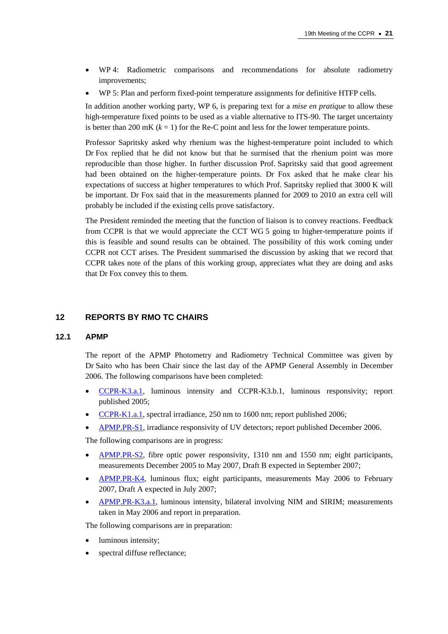- WP 4: Radiometric comparisons and recommendations for absolute radiometry improvements;
- WP 5: Plan and perform fixed-point temperature assignments for definitive HTFP cells.

In addition another working party, WP 6, is preparing text for a *mise en pratique* to allow these high-temperature fixed points to be used as a viable alternative to ITS-90. The target uncertainty is better than 200 mK  $(k = 1)$  for the Re-C point and less for the lower temperature points.

Professor Sapritsky asked why rhenium was the highest-temperature point included to which Dr Fox replied that he did not know but that he surmised that the rhenium point was more reproducible than those higher. In further discussion Prof. Sapritsky said that good agreement had been obtained on the higher-temperature points. Dr Fox asked that he make clear his expectations of success at higher temperatures to which Prof. Sapritsky replied that 3000 K will be important. Dr Fox said that in the measurements planned for 2009 to 2010 an extra cell will probably be included if the existing cells prove satisfactory.

The President reminded the meeting that the function of liaison is to convey reactions. Feedback from CCPR is that we would appreciate the CCT WG 5 going to higher-temperature points if this is feasible and sound results can be obtained. The possibility of this work coming under CCPR not CCT arises. The President summarised the discussion by asking that we record that CCPR takes note of the plans of this working group, appreciates what they are doing and asks that Dr Fox convey this to them.

## **12 REPORTS BY RMO TC CHAIRS**

#### **12.1 APMP**

The report of the APMP Photometry and Radiometry Technical Committee was given by Dr Saito who has been Chair since the last day of the APMP General Assembly in December 2006. The following comparisons have been completed:

- [CCPR-K3.a.1, lu](http://kcdb.bipm.org/appendixB/KCDB_ApB_info.asp?cmp_idy=611&cmp_cod=CCPR-K3.a.1&prov=exalead)minous intensity and CCPR-K3.b.1, luminous responsivity; report published 2005;
- [CCPR-K1.a.1, spe](http://kcdb.bipm.org/appendixB/KCDB_ApB_info.asp?cmp_idy=610&cmp_cod=CCPR-K1.a.1&prov=exalead)ctral irradiance, 250 nm to 1600 nm; report published 2006;
- [APMP.PR-S1, irra](http://kcdb.bipm.org/appendixB/KCDB_ApB_info.asp?cmp_idy=574&cmp_cod=APMP.PR-S1&prov=exalead)diance responsivity of UV detectors; report published December 2006.

The following comparisons are in progress:

- [APMP.PR-S2, fibr](http://kcdb.bipm.org/appendixB/KCDB_ApB_info.asp?cmp_idy=764&cmp_cod=APMP.PR-S2&prov=exalead)e optic power responsivity, 1310 nm and 1550 nm; eight participants, measurements December 2005 to May 2007, Draft B expected in September 2007;
- [APMP.PR-K4, lum](http://kcdb.bipm.org/appendixB/KCDB_ApB_info.asp?cmp_idy=784&cmp_cod=APMP.PR-K4&prov=exalead)inous flux; eight participants, measurements May 2006 to February 2007, Draft A expected in July 2007;
- [APMP.PR-K3.a.1, lum](http://kcdb.bipm.org/appendixB/KCDB_ApB_info.asp?cmp_idy=753&cmp_cod=APMP.PR-K3.a.1&prov=exalead)inous intensity, bilateral involving NIM and SIRIM; measurements taken in May 2006 and report in preparation.

The following comparisons are in preparation:

- luminous intensity:
- spectral diffuse reflectance;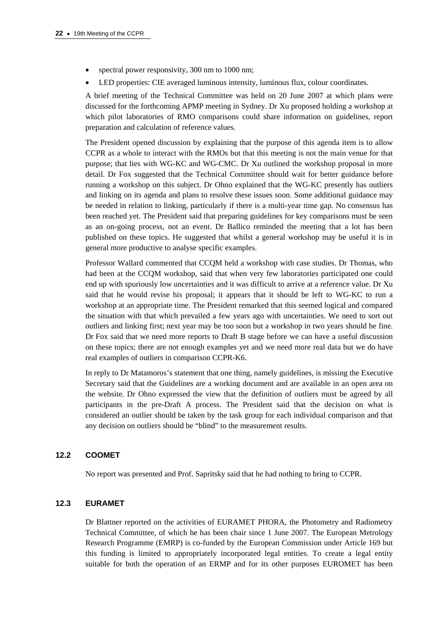- spectral power responsivity, 300 nm to 1000 nm;
- LED properties: CIE averaged luminous intensity, luminous flux, colour coordinates.

A brief meeting of the Technical Committee was held on 20 June 2007 at which plans were discussed for the forthcoming APMP meeting in Sydney. Dr Xu proposed holding a workshop at which pilot laboratories of RMO comparisons could share information on guidelines, report preparation and calculation of reference values.

The President opened discussion by explaining that the purpose of this agenda item is to allow CCPR as a whole to interact with the RMOs but that this meeting is not the main venue for that purpose; that lies with WG-KC and WG-CMC. Dr Xu outlined the workshop proposal in more detail. Dr Fox suggested that the Technical Committee should wait for better guidance before running a workshop on this subject. Dr Ohno explained that the WG-KC presently has outliers and linking on its agenda and plans to resolve these issues soon. Some additional guidance may be needed in relation to linking, particularly if there is a multi-year time gap. No consensus has been reached yet. The President said that preparing guidelines for key comparisons must be seen as an on-going process, not an event. Dr Ballico reminded the meeting that a lot has been published on these topics. He suggested that whilst a general workshop may be useful it is in general more productive to analyse specific examples.

Professor Wallard commented that CCQM held a workshop with case studies. Dr Thomas, who had been at the CCQM workshop, said that when very few laboratories participated one could end up with spuriously low uncertainties and it was difficult to arrive at a reference value. Dr Xu said that he would revise his proposal; it appears that it should be left to WG-KC to run a workshop at an appropriate time. The President remarked that this seemed logical and compared the situation with that which prevailed a few years ago with uncertainties. We need to sort out outliers and linking first; next year may be too soon but a workshop in two years should be fine. Dr Fox said that we need more reports to Draft B stage before we can have a useful discussion on these topics; there are not enough examples yet and we need more real data but we do have real examples of outliers in comparison CCPR-K6.

In reply to Dr Matamoros's statement that one thing, namely guidelines, is missing the Executive Secretary said that the Guidelines are a working document and are available in an open area on the website. Dr Ohno expressed the view that the definition of outliers must be agreed by all participants in the pre-Draft A process. The President said that the decision on what is considered an outlier should be taken by the task group for each individual comparison and that any decision on outliers should be "blind" to the measurement results.

#### **12.2 COOMET**

No report was presented and Prof. Sapritsky said that he had nothing to bring to CCPR.

# **12.3 EURAMET**

Dr Blattner reported on the activities of EURAMET PHORA, the Photometry and Radiometry Technical Committee, of which he has been chair since 1 June 2007. The European Metrology Research Programme (EMRP) is co-funded by the European Commission under Article 169 but this funding is limited to appropriately incorporated legal entities. To create a legal entity suitable for both the operation of an ERMP and for its other purposes EUROMET has been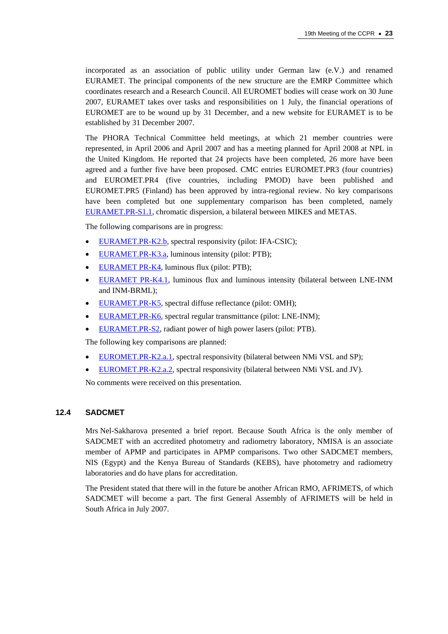incorporated as an association of public utility under German law (e.V.) and renamed EURAMET. The principal components of the new structure are the EMRP Committee which coordinates research and a Research Council. All EUROMET bodies will cease work on 30 June 2007, EURAMET takes over tasks and responsibilities on 1 July, the financial operations of EUROMET are to be wound up by 31 December, and a new website for EURAMET is to be established by 31 December 2007.

The PHORA Technical Committee held meetings, at which 21 member countries were represented, in April 2006 and April 2007 and has a meeting planned for April 2008 at NPL in the United Kingdom. He reported that 24 projects have been completed, 26 more have been agreed and a further five have been proposed. CMC entries EUROMET.PR3 (four countries) and EUROMET.PR4 (five countries, including PMOD) have been published and EUROMET.PR5 (Finland) has been approved by intra-regional review. No key comparisons have been completed but one supplementary comparison has been completed, namely [EURAMET.PR-S1.1, ch](http://kcdb.bipm.org/appendixB/KCDB_ApB_info.asp?cmp_idy=774&cmp_cod=EUROMET.PR-S1.1&prov=exalead)romatic dispersion, a bilateral between MIKES and METAS.

The following comparisons are in progress:

- [EURAMET.PR-K2.b, sp](http://kcdb.bipm.org/appendixB/KCDB_ApB_info.asp?cmp_idy=500&cmp_cod=EUROMET.PR-K2.b&prov=exalead)ectral responsivity (pilot: IFA-CSIC);
- [EURAMET.PR-K3.a, lum](http://kcdb.bipm.org/appendixB/KCDB_ApB_info.asp?cmp_idy=501&cmp_cod=EUROMET.PR-K3.a&prov=exalead)inous intensity (pilot: PTB);
- [EURAMET PR-K4, lum](http://kcdb.bipm.org/appendixB/KCDB_ApB_info.asp?cmp_idy=504&cmp_cod=EUROMET.PR-K4&prov=exalead)inous flux (pilot: PTB);
- [EURAMET PR-K4.1, lu](http://kcdb.bipm.org/appendixB/KCDB_ApB_info.asp?cmp_idy=672&cmp_cod=EUROMET.PR-K4.1&prov=exalead)minous flux and luminous intensity (bilateral between LNE-INM and INM-BRML);
- [EURAMET.PR-K5, sp](http://kcdb.bipm.org/appendixB/KCDB_ApB_info.asp?cmp_idy=505&cmp_cod=EUROMET.PR-K5&prov=exalead)ectral diffuse reflectance (pilot: OMH);
- [EURAMET.PR-K6, sp](http://kcdb.bipm.org/appendixB/KCDB_ApB_info.asp?cmp_idy=506&cmp_cod=EUROMET.PR-K6&prov=exalead)ectral regular transmittance (pilot: LNE-INM);
- [EURAMET.PR-S2, rad](http://kcdb.bipm.org/appendixB/KCDB_ApB_info.asp?cmp_idy=675&cmp_cod=EUROMET.PR-S2&prov=exalead)iant power of high power lasers (pilot: PTB).

The following key comparisons are planned:

- [EUROMET.PR-K2.a.1, sp](http://kcdb.bipm.org/appendixB/KCDB_ApB_info.asp?cmp_idy=498&cmp_cod=EUROMET.PR-K2.a.1&prov=exalead)ectral responsivity (bilateral between NMi VSL and SP);
- [EUROMET.PR-K2.a.2, sp](http://kcdb.bipm.org/appendixB/KCDB_ApB_info.asp?cmp_idy=499&cmp_cod=EUROMET.PR-K2.a.2&prov=exalead)ectral responsivity (bilateral between NMi VSL and JV).

No comments were received on this presentation.

## **12.4 SADCMET**

Mrs Nel-Sakharova presented a brief report. Because South Africa is the only member of SADCMET with an accredited photometry and radiometry laboratory, NMISA is an associate member of APMP and participates in APMP comparisons. Two other SADCMET members, NIS (Egypt) and the Kenya Bureau of Standards (KEBS), have photometry and radiometry laboratories and do have plans for accreditation.

The President stated that there will in the future be another African RMO, AFRIMETS, of which SADCMET will become a part. The first General Assembly of AFRIMETS will be held in South Africa in July 2007.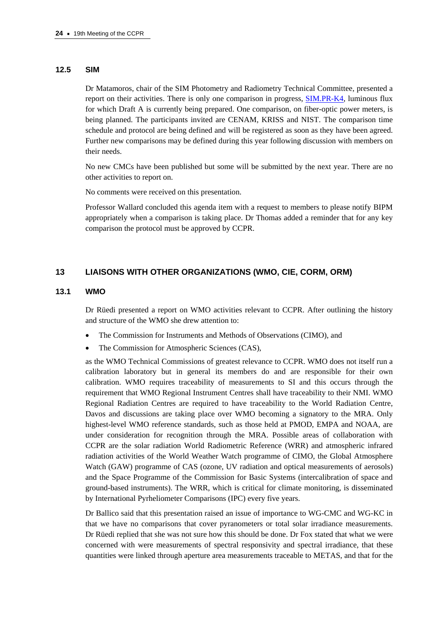#### **12.5 SIM**

Dr Matamoros, chair of the SIM Photometry and Radiometry Technical Committee, presented a report on their activities. There is only one comparison in pro[gress, SIM.PR-K4, lu](http://kcdb.bipm.org/appendixB/KCDB_ApB_info.asp?cmp_idy=662&cmp_cod=SIM.PR-K4&prov=exalead)minous flux for which Draft A is currently being prepared. One comparison, on fiber-optic power meters, is being planned. The participants invited are CENAM, KRISS and NIST. The comparison time schedule and protocol are being defined and will be registered as soon as they have been agreed. Further new comparisons may be defined during this year following discussion with members on their needs.

No new CMCs have been published but some will be submitted by the next year. There are no other activities to report on.

No comments were received on this presentation.

Professor Wallard concluded this agenda item with a request to members to please notify BIPM appropriately when a comparison is taking place. Dr Thomas added a reminder that for any key comparison the protocol must be approved by CCPR.

#### **13 LIAISONS WITH OTHER ORGANIZATIONS (WMO, CIE, CORM, ORM)**

#### **13.1 WMO**

Dr Rüedi presented a report on WMO activities relevant to CCPR. After outlining the history and structure of the WMO she drew attention to:

- The Commission for Instruments and Methods of Observations (CIMO), and
- The Commission for Atmospheric Sciences (CAS),

as the WMO Technical Commissions of greatest relevance to CCPR. WMO does not itself run a calibration laboratory but in general its members do and are responsible for their own calibration. WMO requires traceability of measurements to SI and this occurs through the requirement that WMO Regional Instrument Centres shall have traceability to their NMI. WMO Regional Radiation Centres are required to have traceability to the World Radiation Centre, Davos and discussions are taking place over WMO becoming a signatory to the MRA. Only highest-level WMO reference standards, such as those held at PMOD, EMPA and NOAA, are under consideration for recognition through the MRA. Possible areas of collaboration with CCPR are the solar radiation World Radiometric Reference (WRR) and atmospheric infrared radiation activities of the World Weather Watch programme of CIMO, the Global Atmosphere Watch (GAW) programme of CAS (ozone, UV radiation and optical measurements of aerosols) and the Space Programme of the Commission for Basic Systems (intercalibration of space and ground-based instruments). The WRR, which is critical for climate monitoring, is disseminated by International Pyrheliometer Comparisons (IPC) every five years.

Dr Ballico said that this presentation raised an issue of importance to WG-CMC and WG-KC in that we have no comparisons that cover pyranometers or total solar irradiance measurements. Dr Rüedi replied that she was not sure how this should be done. Dr Fox stated that what we were concerned with were measurements of spectral responsivity and spectral irradiance, that these quantities were linked through aperture area measurements traceable to METAS, and that for the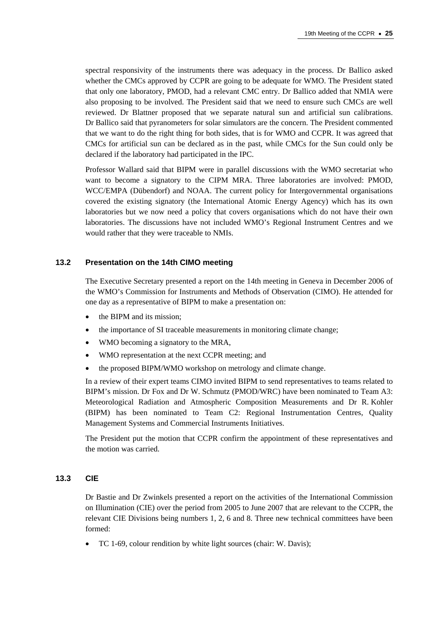spectral responsivity of the instruments there was adequacy in the process. Dr Ballico asked whether the CMCs approved by CCPR are going to be adequate for WMO. The President stated that only one laboratory, PMOD, had a relevant CMC entry. Dr Ballico added that NMIA were also proposing to be involved. The President said that we need to ensure such CMCs are well reviewed. Dr Blattner proposed that we separate natural sun and artificial sun calibrations. Dr Ballico said that pyranometers for solar simulators are the concern. The President commented that we want to do the right thing for both sides, that is for WMO and CCPR. It was agreed that CMCs for artificial sun can be declared as in the past, while CMCs for the Sun could only be declared if the laboratory had participated in the IPC.

Professor Wallard said that BIPM were in parallel discussions with the WMO secretariat who want to become a signatory to the CIPM MRA. Three laboratories are involved: PMOD, WCC/EMPA (Dübendorf) and NOAA. The current policy for Intergovernmental organisations covered the existing signatory (the International Atomic Energy Agency) which has its own laboratories but we now need a policy that covers organisations which do not have their own laboratories. The discussions have not included WMO's Regional Instrument Centres and we would rather that they were traceable to NMIs.

## **13.2 Presentation on the 14th CIMO meeting**

The Executive Secretary presented a report on the 14th meeting in Geneva in December 2006 of the WMO's Commission for Instruments and Methods of Observation (CIMO). He attended for one day as a representative of BIPM to make a presentation on:

- the BIPM and its mission;
- the importance of SI traceable measurements in monitoring climate change;
- WMO becoming a signatory to the MRA,
- WMO representation at the next CCPR meeting; and
- the proposed BIPM/WMO workshop on metrology and climate change.

In a review of their expert teams CIMO invited BIPM to send representatives to teams related to BIPM's mission. Dr Fox and Dr W. Schmutz (PMOD/WRC) have been nominated to Team A3: Meteorological Radiation and Atmospheric Composition Measurements and Dr R. Kohler (BIPM) has been nominated to Team C2: Regional Instrumentation Centres, Quality Management Systems and Commercial Instruments Initiatives.

The President put the motion that CCPR confirm the appointment of these representatives and the motion was carried.

#### **13.3 CIE**

Dr Bastie and Dr Zwinkels presented a report on the activities of the International Commission on Illumination (CIE) over the period from 2005 to June 2007 that are relevant to the CCPR, the relevant CIE Divisions being numbers 1, 2, 6 and 8. Three new technical committees have been formed:

• TC 1-69, colour rendition by white light sources (chair: W. Davis);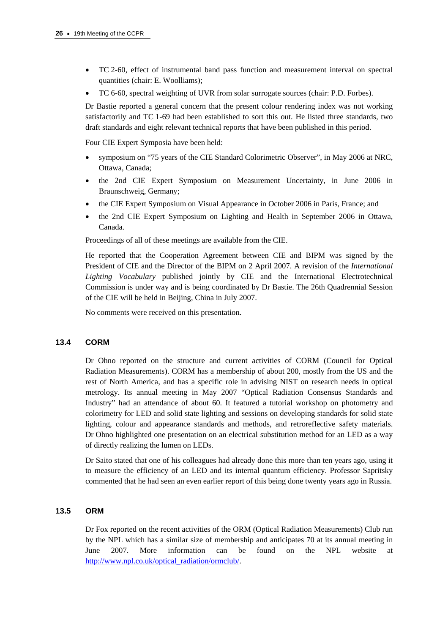- TC 2-60, effect of instrumental band pass function and measurement interval on spectral quantities (chair: E. Woolliams);
- TC 6-60, spectral weighting of UVR from solar surrogate sources (chair: P.D. Forbes).

Dr Bastie reported a general concern that the present colour rendering index was not working satisfactorily and TC 1-69 had been established to sort this out. He listed three standards, two draft standards and eight relevant technical reports that have been published in this period.

Four CIE Expert Symposia have been held:

- symposium on "75 years of the CIE Standard Colorimetric Observer", in May 2006 at NRC, Ottawa, Canada;
- the 2nd CIE Expert Symposium on Measurement Uncertainty, in June 2006 in Braunschweig, Germany;
- the CIE Expert Symposium on Visual Appearance in October 2006 in Paris, France; and
- the 2nd CIE Expert Symposium on Lighting and Health in September 2006 in Ottawa, Canada.

Proceedings of all of these meetings are available from the CIE.

He reported that the Cooperation Agreement between CIE and BIPM was signed by the President of CIE and the Director of the BIPM on 2 April 2007. A revision of the *International Lighting Vocabulary* published jointly by CIE and the International Electrotechnical Commission is under way and is being coordinated by Dr Bastie. The 26th Quadrennial Session of the CIE will be held in Beijing, China in July 2007.

No comments were received on this presentation.

# **13.4 CORM**

Dr Ohno reported on the structure and current activities of CORM (Council for Optical Radiation Measurements). CORM has a membership of about 200, mostly from the US and the rest of North America, and has a specific role in advising NIST on research needs in optical metrology. Its annual meeting in May 2007 "Optical Radiation Consensus Standards and Industry" had an attendance of about 60. It featured a tutorial workshop on photometry and colorimetry for LED and solid state lighting and sessions on developing standards for solid state lighting, colour and appearance standards and methods, and retroreflective safety materials. Dr Ohno highlighted one presentation on an electrical substitution method for an LED as a way of directly realizing the lumen on LEDs.

Dr Saito stated that one of his colleagues had already done this more than ten years ago, using it to measure the efficiency of an LED and its internal quantum efficiency. Professor Sapritsky commented that he had seen an even earlier report of this being done twenty years ago in Russia.

## **13.5 ORM**

Dr Fox reported on the recent activities of the ORM (Optical Radiation Measurements) Club run by the NPL which has a similar size of membership and anticipates 70 at its annual meeting in June 2007. More information can be found on the NPL website at [http://www.npl.co.uk/optical\\_radiation/ormclub/.](http://www.npl.co.uk/optical_radiation/ormclub/)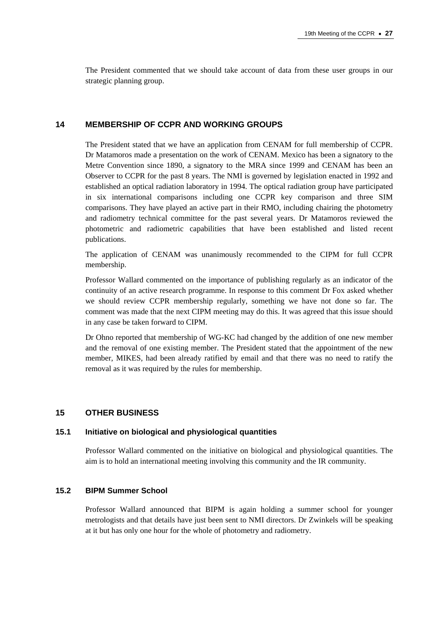The President commented that we should take account of data from these user groups in our strategic planning group.

## **14 MEMBERSHIP OF CCPR AND WORKING GROUPS**

The President stated that we have an application from CENAM for full membership of CCPR. Dr Matamoros made a presentation on the work of CENAM. Mexico has been a signatory to the Metre Convention since 1890, a signatory to the MRA since 1999 and CENAM has been an Observer to CCPR for the past 8 years. The NMI is governed by legislation enacted in 1992 and established an optical radiation laboratory in 1994. The optical radiation group have participated in six international comparisons including one CCPR key comparison and three SIM comparisons. They have played an active part in their RMO, including chairing the photometry and radiometry technical committee for the past several years. Dr Matamoros reviewed the photometric and radiometric capabilities that have been established and listed recent publications.

The application of CENAM was unanimously recommended to the CIPM for full CCPR membership.

Professor Wallard commented on the importance of publishing regularly as an indicator of the continuity of an active research programme. In response to this comment Dr Fox asked whether we should review CCPR membership regularly, something we have not done so far. The comment was made that the next CIPM meeting may do this. It was agreed that this issue should in any case be taken forward to CIPM.

Dr Ohno reported that membership of WG-KC had changed by the addition of one new member and the removal of one existing member. The President stated that the appointment of the new member, MIKES, had been already ratified by email and that there was no need to ratify the removal as it was required by the rules for membership.

#### **15 OTHER BUSINESS**

#### **15.1 Initiative on biological and physiological quantities**

Professor Wallard commented on the initiative on biological and physiological quantities. The aim is to hold an international meeting involving this community and the IR community.

## **15.2 BIPM Summer School**

Professor Wallard announced that BIPM is again holding a summer school for younger metrologists and that details have just been sent to NMI directors. Dr Zwinkels will be speaking at it but has only one hour for the whole of photometry and radiometry.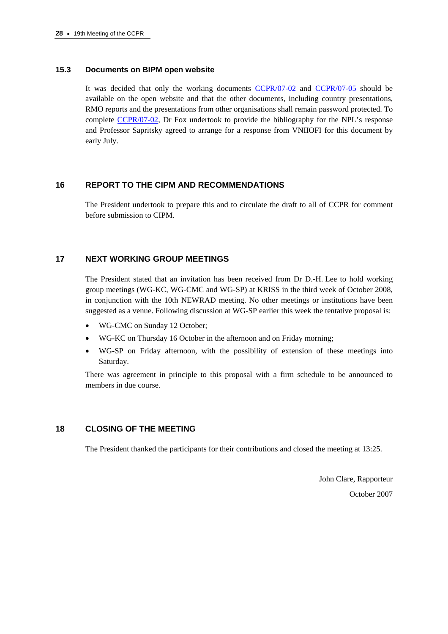#### **15.3 Documents on BIPM open website**

It was decided that only the working documen[ts CCPR/07-02 a](https://www.bipm.org/cc/CCPR/Allowed/19/CCPR-07-02.pdf)n[d CCPR/07-05 sho](https://www.bipm.org/cc/CCPR/Allowed/19/CCPR-07-05.pdf)uld be available on the open website and that the other documents, including country presentations, RMO reports and the presentations from other organisations shall remain password protected. To comple[te CCPR/07-02, Dr](https://www.bipm.org/cc/CCPR/Allowed/19/CCPR-07-02.pdf) Fox undertook to provide the bibliography for the NPL's response and Professor Sapritsky agreed to arrange for a response from VNIIOFI for this document by early July.

## **16 REPORT TO THE CIPM AND RECOMMENDATIONS**

The President undertook to prepare this and to circulate the draft to all of CCPR for comment before submission to CIPM.

#### **17 NEXT WORKING GROUP MEETINGS**

The President stated that an invitation has been received from Dr D.-H. Lee to hold working group meetings (WG-KC, WG-CMC and WG-SP) at KRISS in the third week of October 2008, in conjunction with the 10th NEWRAD meeting. No other meetings or institutions have been suggested as a venue. Following discussion at WG-SP earlier this week the tentative proposal is:

- WG-CMC on Sunday 12 October;
- WG-KC on Thursday 16 October in the afternoon and on Friday morning;
- WG-SP on Friday afternoon, with the possibility of extension of these meetings into Saturday.

There was agreement in principle to this proposal with a firm schedule to be announced to members in due course.

## **18 CLOSING OF THE MEETING**

The President thanked the participants for their contributions and closed the meeting at 13:25.

John Clare, Rapporteur October 2007